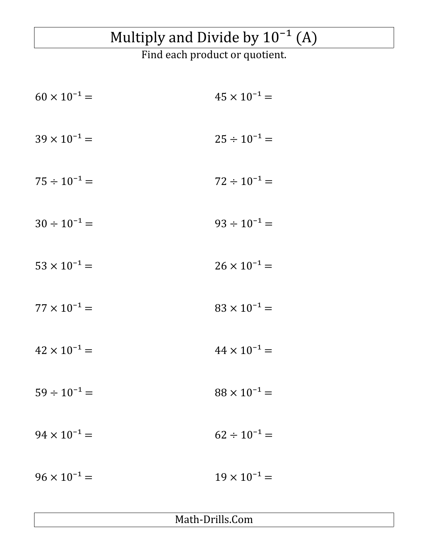## Multiply and Divide by  $10^{-1}$  (A)

Find each product or quotient.

| $60 \times 10^{-1} =$ | $45 \times 10^{-1} =$ |
|-----------------------|-----------------------|
| $39 \times 10^{-1} =$ | $25 \div 10^{-1} =$   |
| $75 \div 10^{-1} =$   | $72 \div 10^{-1} =$   |
| $30 \div 10^{-1} =$   | $93 \div 10^{-1} =$   |
| $53 \times 10^{-1} =$ | $26 \times 10^{-1} =$ |
| $77 \times 10^{-1} =$ | $83 \times 10^{-1} =$ |
| $42 \times 10^{-1} =$ | $44 \times 10^{-1} =$ |
| $59 \div 10^{-1} =$   | $88 \times 10^{-1} =$ |
| $94 \times 10^{-1} =$ | $62 \div 10^{-1} =$   |
| $96 \times 10^{-1} =$ | $19 \times 10^{-1} =$ |